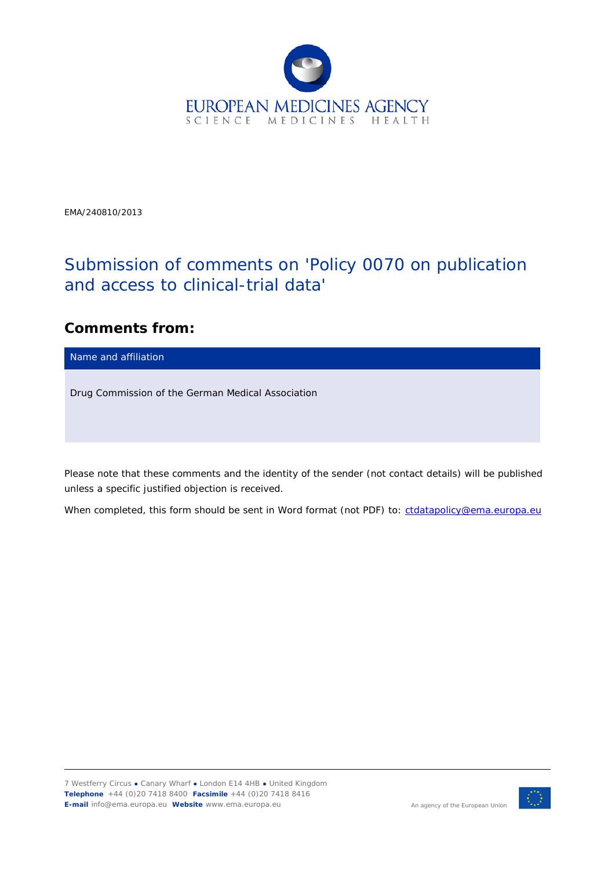

EMA/240810/2013

## Submission of comments on 'Policy 0070 on publication and access to clinical-trial data'

## **Comments from:**

Name and affiliation

Drug Commission of the German Medical Association

*Please note that these comments and the identity of the sender (not contact details) will be published unless a specific justified objection is received.*

*When completed, this form should be sent in Word format (not PDF) to: [ctdatapolicy@ema.europa.eu](mailto:ctdatapolicy@ema.europa.eu)*

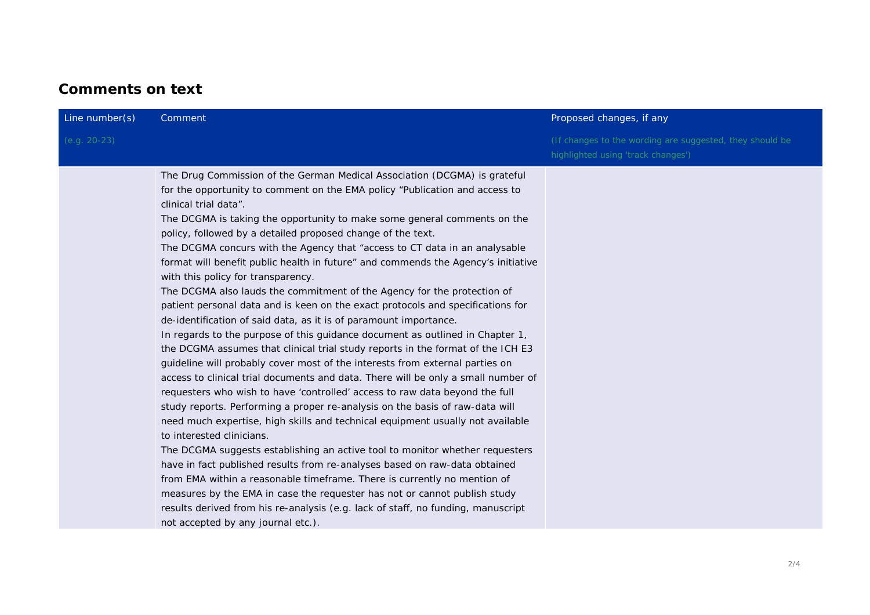## **Comments on text**

| Line number(s)<br>Comment                                                                                                                                                                                                                                                                                                                                                                                                                                                                                                                                                                                                                                                                                                                                                                                                                                                                                                                                                                                                                                                                                                                                                                                                                                                                                                                                                                                                                                                                                                                                                                                                                                                                                                                                                                                                                        | Proposed changes, if any                                                                       |
|--------------------------------------------------------------------------------------------------------------------------------------------------------------------------------------------------------------------------------------------------------------------------------------------------------------------------------------------------------------------------------------------------------------------------------------------------------------------------------------------------------------------------------------------------------------------------------------------------------------------------------------------------------------------------------------------------------------------------------------------------------------------------------------------------------------------------------------------------------------------------------------------------------------------------------------------------------------------------------------------------------------------------------------------------------------------------------------------------------------------------------------------------------------------------------------------------------------------------------------------------------------------------------------------------------------------------------------------------------------------------------------------------------------------------------------------------------------------------------------------------------------------------------------------------------------------------------------------------------------------------------------------------------------------------------------------------------------------------------------------------------------------------------------------------------------------------------------------------|------------------------------------------------------------------------------------------------|
| $(e.g. 20-23)$                                                                                                                                                                                                                                                                                                                                                                                                                                                                                                                                                                                                                                                                                                                                                                                                                                                                                                                                                                                                                                                                                                                                                                                                                                                                                                                                                                                                                                                                                                                                                                                                                                                                                                                                                                                                                                   | (If changes to the wording are suggested, they should be<br>highlighted using 'track changes') |
| The Drug Commission of the German Medical Association (DCGMA) is grateful<br>for the opportunity to comment on the EMA policy "Publication and access to<br>clinical trial data".<br>The DCGMA is taking the opportunity to make some general comments on the<br>policy, followed by a detailed proposed change of the text.<br>The DCGMA concurs with the Agency that "access to CT data in an analysable<br>format will benefit public health in future" and commends the Agency's initiative<br>with this policy for transparency.<br>The DCGMA also lauds the commitment of the Agency for the protection of<br>patient personal data and is keen on the exact protocols and specifications for<br>de-identification of said data, as it is of paramount importance.<br>In regards to the purpose of this guidance document as outlined in Chapter 1,<br>the DCGMA assumes that clinical trial study reports in the format of the ICH E3<br>guideline will probably cover most of the interests from external parties on<br>access to clinical trial documents and data. There will be only a small number of<br>requesters who wish to have 'controlled' access to raw data beyond the full<br>study reports. Performing a proper re-analysis on the basis of raw-data will<br>need much expertise, high skills and technical equipment usually not available<br>to interested clinicians.<br>The DCGMA suggests establishing an active tool to monitor whether requesters<br>have in fact published results from re-analyses based on raw-data obtained<br>from EMA within a reasonable timeframe. There is currently no mention of<br>measures by the EMA in case the requester has not or cannot publish study<br>results derived from his re-analysis (e.g. lack of staff, no funding, manuscript<br>not accepted by any journal etc.). |                                                                                                |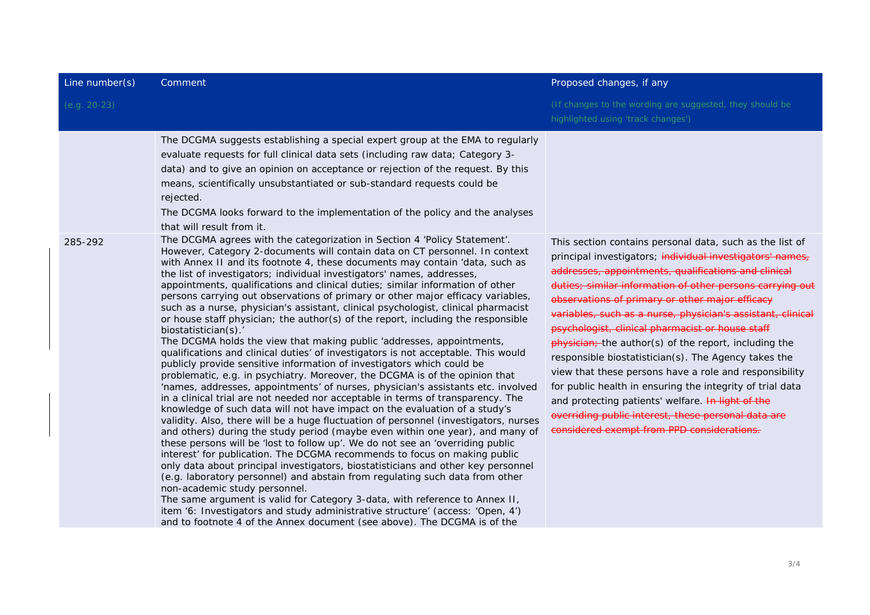| Line number(s) | Comment                                                                                                                                                                                                                                                                                                                                                                                                                                                                                                                                                                                                                                                                                                                                                                                                                                                                                                                                                                                                                                                                                                                                                                                                                                                                                                                                                                                                                                                                                                                                                                                                                                                                                                                                                                                                                                                                                                                                                                                                                                                           | Proposed changes, if any                                                                                                                                                                                                                                                                                                                                                                                                                                                                                                                                                                                                                                                                                                                                                                                           |
|----------------|-------------------------------------------------------------------------------------------------------------------------------------------------------------------------------------------------------------------------------------------------------------------------------------------------------------------------------------------------------------------------------------------------------------------------------------------------------------------------------------------------------------------------------------------------------------------------------------------------------------------------------------------------------------------------------------------------------------------------------------------------------------------------------------------------------------------------------------------------------------------------------------------------------------------------------------------------------------------------------------------------------------------------------------------------------------------------------------------------------------------------------------------------------------------------------------------------------------------------------------------------------------------------------------------------------------------------------------------------------------------------------------------------------------------------------------------------------------------------------------------------------------------------------------------------------------------------------------------------------------------------------------------------------------------------------------------------------------------------------------------------------------------------------------------------------------------------------------------------------------------------------------------------------------------------------------------------------------------------------------------------------------------------------------------------------------------|--------------------------------------------------------------------------------------------------------------------------------------------------------------------------------------------------------------------------------------------------------------------------------------------------------------------------------------------------------------------------------------------------------------------------------------------------------------------------------------------------------------------------------------------------------------------------------------------------------------------------------------------------------------------------------------------------------------------------------------------------------------------------------------------------------------------|
| $(e.g. 20-23)$ |                                                                                                                                                                                                                                                                                                                                                                                                                                                                                                                                                                                                                                                                                                                                                                                                                                                                                                                                                                                                                                                                                                                                                                                                                                                                                                                                                                                                                                                                                                                                                                                                                                                                                                                                                                                                                                                                                                                                                                                                                                                                   | (If changes to the wording are suggested, they should be<br>highlighted using 'track changes')                                                                                                                                                                                                                                                                                                                                                                                                                                                                                                                                                                                                                                                                                                                     |
|                | The DCGMA suggests establishing a special expert group at the EMA to regularly<br>evaluate requests for full clinical data sets (including raw data; Category 3-<br>data) and to give an opinion on acceptance or rejection of the request. By this<br>means, scientifically unsubstantiated or sub-standard requests could be<br>rejected.<br>The DCGMA looks forward to the implementation of the policy and the analyses<br>that will result from it.                                                                                                                                                                                                                                                                                                                                                                                                                                                                                                                                                                                                                                                                                                                                                                                                                                                                                                                                                                                                                                                                                                                                                                                                                                                                                                                                                                                                                                                                                                                                                                                                          |                                                                                                                                                                                                                                                                                                                                                                                                                                                                                                                                                                                                                                                                                                                                                                                                                    |
| 285-292        | The DCGMA agrees with the categorization in Section 4 'Policy Statement'.<br>However, Category 2-documents will contain data on CT personnel. In context<br>with Annex II and its footnote 4, these documents may contain 'data, such as<br>the list of investigators; individual investigators' names, addresses,<br>appointments, qualifications and clinical duties; similar information of other<br>persons carrying out observations of primary or other major efficacy variables,<br>such as a nurse, physician's assistant, clinical psychologist, clinical pharmacist<br>or house staff physician; the author(s) of the report, including the responsible<br>biostatistician(s).'<br>The DCGMA holds the view that making public 'addresses, appointments,<br>qualifications and clinical duties' of investigators is not acceptable. This would<br>publicly provide sensitive information of investigators which could be<br>problematic, e.g. in psychiatry. Moreover, the DCGMA is of the opinion that<br>'names, addresses, appointments' of nurses, physician's assistants etc. involved<br>in a clinical trial are not needed nor acceptable in terms of transparency. The<br>knowledge of such data will not have impact on the evaluation of a study's<br>validity. Also, there will be a huge fluctuation of personnel (investigators, nurses<br>and others) during the study period (maybe even within one year), and many of<br>these persons will be 'lost to follow up'. We do not see an 'overriding public<br>interest' for publication. The DCGMA recommends to focus on making public<br>only data about principal investigators, biostatisticians and other key personnel<br>(e.g. laboratory personnel) and abstain from regulating such data from other<br>non-academic study personnel.<br>The same argument is valid for Category 3-data, with reference to Annex II,<br>item '6: Investigators and study administrative structure' (access: 'Open, 4')<br>and to footnote 4 of the Annex document (see above). The DCGMA is of the | This section contains personal data, such as the list of<br>principal investigators; individual investigators' names,<br>addresses, appointments, qualifications and clinical<br>duties; similar information of other persons carrying out<br>observations of primary or other major efficacy<br>variables, such as a nurse, physician's assistant, clinical<br>psychologist, clinical pharmacist or house staff<br>physician; the author(s) of the report, including the<br>responsible biostatistician(s). The Agency takes the<br>view that these persons have a role and responsibility<br>for public health in ensuring the integrity of trial data<br>and protecting patients' welfare. In light of the<br>overriding public interest, these personal data are<br>considered exempt from PPD considerations. |